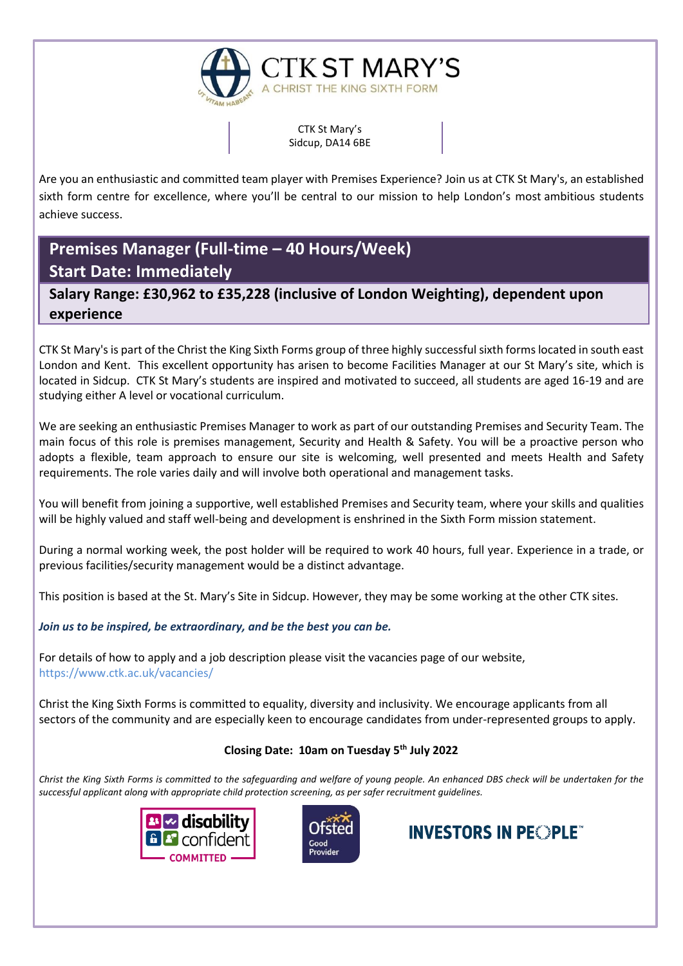

CTK St Mary's Sidcup, DA14 6BE

Are you an enthusiastic and committed team player with Premises Experience? Join us at CTK St Mary's, an established sixth form centre for excellence, where you'll be central to our mission to help London's most ambitious students achieve success.

## **Premises Manager (Full-time – 40 Hours/Week) Start Date: Immediately**

**Salary Range: £30,962 to £35,228 (inclusive of London Weighting), dependent upon experience** 

CTK St Mary's is part of the Christ the King Sixth Forms group of three highly successful sixth forms located in south east London and Kent. This excellent opportunity has arisen to become Facilities Manager at our St Mary's site, which is located in Sidcup. CTK St Mary's students are inspired and motivated to succeed, all students are aged 16-19 and are studying either A level or vocational curriculum.

We are seeking an enthusiastic Premises Manager to work as part of our outstanding Premises and Security Team. The main focus of this role is premises management, Security and Health & Safety. You will be a proactive person who adopts a flexible, team approach to ensure our site is welcoming, well presented and meets Health and Safety requirements. The role varies daily and will involve both operational and management tasks.

You will benefit from joining a supportive, well established Premises and Security team, where your skills and qualities will be highly valued and staff well-being and development is enshrined in the Sixth Form mission statement.

During a normal working week, the post holder will be required to work 40 hours, full year. Experience in a trade, or previous facilities/security management would be a distinct advantage.

This position is based at the St. Mary's Site in Sidcup. However, they may be some working at the other CTK sites.

*Join us to be inspired, be extraordinary, and be the best you can be.*

For details of how to apply and a job description please visit the vacancies page of our website, <https://www.ctk.ac.uk/vacancies/>

Christ the King Sixth Forms is committed to equality, diversity and inclusivity. We encourage applicants from all sectors of the community and are especially keen to encourage candidates from under-represented groups to apply.

### **Closing Date: 10am on Tuesday 5th July 2022**

*Christ the King Sixth Forms is committed to the safeguarding and welfare of young people. An enhanced DBS check will be undertaken for the successful applicant along with appropriate child protection screening, as per safer recruitment guidelines.*





# **INVESTORS IN PEOPLE**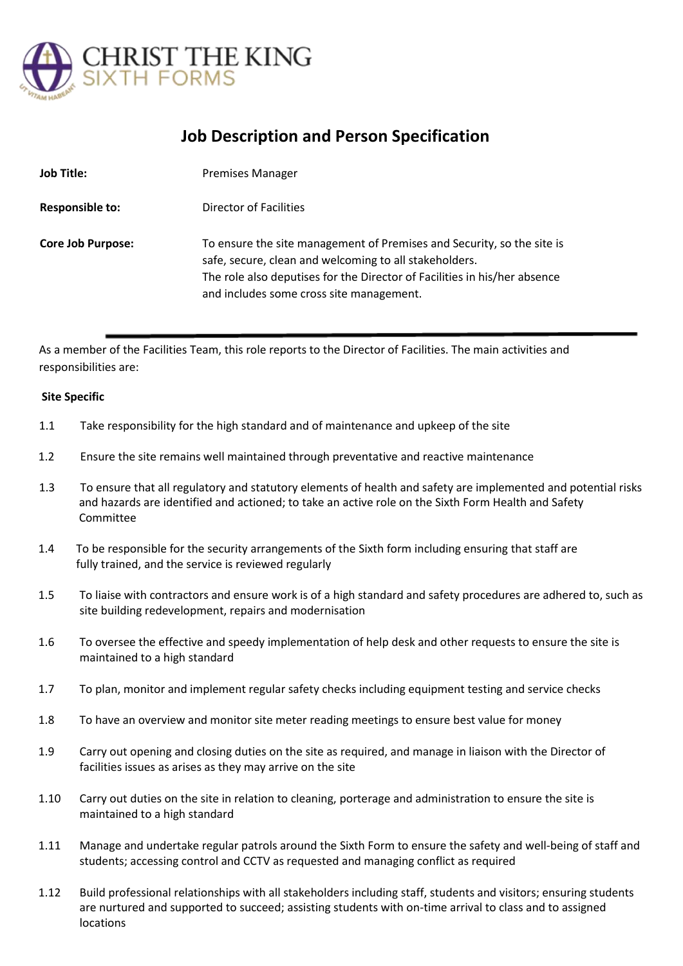

### **Job Description and Person Specification**

| <b>Job Title:</b>        | <b>Premises Manager</b>                                                                                                                                                                                                                                   |
|--------------------------|-----------------------------------------------------------------------------------------------------------------------------------------------------------------------------------------------------------------------------------------------------------|
| <b>Responsible to:</b>   | Director of Facilities                                                                                                                                                                                                                                    |
| <b>Core Job Purpose:</b> | To ensure the site management of Premises and Security, so the site is<br>safe, secure, clean and welcoming to all stakeholders.<br>The role also deputises for the Director of Facilities in his/her absence<br>and includes some cross site management. |

As a member of the Facilities Team, this role reports to the Director of Facilities. The main activities and responsibilities are:

#### **Site Specific**

- 1.1 Take responsibility for the high standard and of maintenance and upkeep of the site
- 1.2 Ensure the site remains well maintained through preventative and reactive maintenance
- 1.3 To ensure that all regulatory and statutory elements of health and safety are implemented and potential risks and hazards are identified and actioned; to take an active role on the Sixth Form Health and Safety Committee
- 1.4 To be responsible for the security arrangements of the Sixth form including ensuring that staff are fully trained, and the service is reviewed regularly
- 1.5 To liaise with contractors and ensure work is of a high standard and safety procedures are adhered to, such as site building redevelopment, repairs and modernisation
- 1.6 To oversee the effective and speedy implementation of help desk and other requests to ensure the site is maintained to a high standard
- 1.7 To plan, monitor and implement regular safety checks including equipment testing and service checks
- 1.8 To have an overview and monitor site meter reading meetings to ensure best value for money
- 1.9 Carry out opening and closing duties on the site as required, and manage in liaison with the Director of facilities issues as arises as they may arrive on the site
- 1.10 Carry out duties on the site in relation to cleaning, porterage and administration to ensure the site is maintained to a high standard
- 1.11 Manage and undertake regular patrols around the Sixth Form to ensure the safety and well-being of staff and students; accessing control and CCTV as requested and managing conflict as required
- 1.12 Build professional relationships with all stakeholders including staff, students and visitors; ensuring students are nurtured and supported to succeed; assisting students with on-time arrival to class and to assigned locations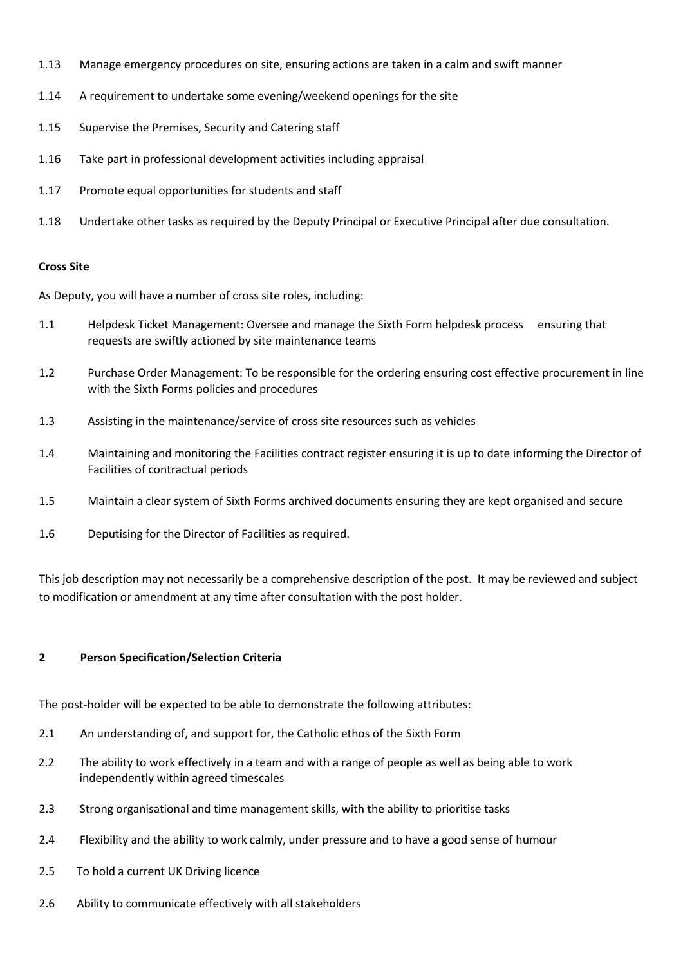- 1.13 Manage emergency procedures on site, ensuring actions are taken in a calm and swift manner
- 1.14 A requirement to undertake some evening/weekend openings for the site
- 1.15 Supervise the Premises, Security and Catering staff
- 1.16 Take part in professional development activities including appraisal
- 1.17 Promote equal opportunities for students and staff
- 1.18 Undertake other tasks as required by the Deputy Principal or Executive Principal after due consultation.

#### **Cross Site**

As Deputy, you will have a number of cross site roles, including:

- 1.1 Helpdesk Ticket Management: Oversee and manage the Sixth Form helpdesk process ensuring that requests are swiftly actioned by site maintenance teams
- 1.2 Purchase Order Management: To be responsible for the ordering ensuring cost effective procurement in line with the Sixth Forms policies and procedures
- 1.3 Assisting in the maintenance/service of cross site resources such as vehicles
- 1.4 Maintaining and monitoring the Facilities contract register ensuring it is up to date informing the Director of Facilities of contractual periods
- 1.5 Maintain a clear system of Sixth Forms archived documents ensuring they are kept organised and secure
- 1.6 Deputising for the Director of Facilities as required.

This job description may not necessarily be a comprehensive description of the post. It may be reviewed and subject to modification or amendment at any time after consultation with the post holder.

### **2 Person Specification/Selection Criteria**

The post-holder will be expected to be able to demonstrate the following attributes:

- 2.1 An understanding of, and support for, the Catholic ethos of the Sixth Form
- 2.2 The ability to work effectively in a team and with a range of people as well as being able to work independently within agreed timescales
- 2.3 Strong organisational and time management skills, with the ability to prioritise tasks
- 2.4 Flexibility and the ability to work calmly, under pressure and to have a good sense of humour
- 2.5 To hold a current UK Driving licence
- 2.6 Ability to communicate effectively with all stakeholders